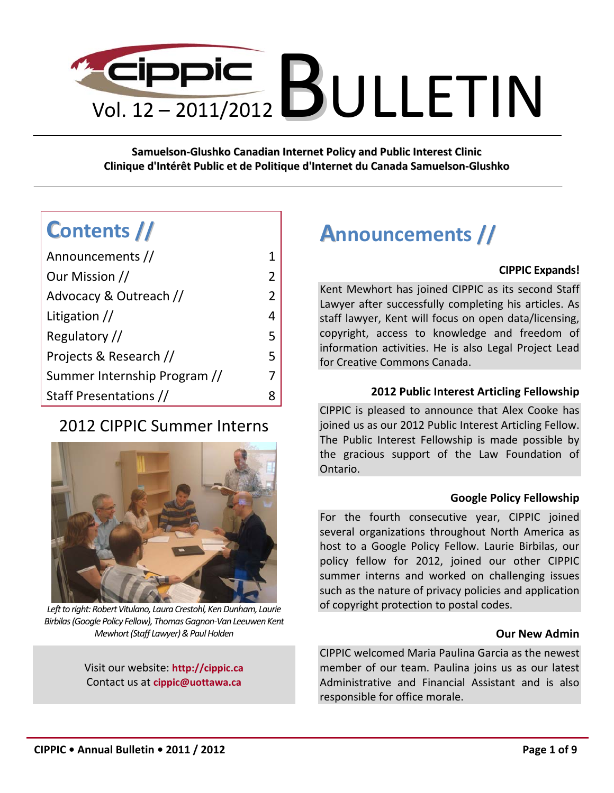# $\frac{1}{\sqrt{2}}$  Gippic  $\frac{1}{\sqrt{2011/2012}}$  BULLETIN

**Samuelson-Glushko Canadian Internet Policy and Public Interest Clinic Clinique d'Intérêt Public et de Politique d'Internet du Canada Samuelson-Glushko**

## **Contents //**

| Announcements //                |               |
|---------------------------------|---------------|
| Our Mission //                  | $\mathcal{L}$ |
| Advocacy & Outreach //          | $\mathcal{P}$ |
| Litigation $\frac{1}{\sqrt{2}}$ |               |
| Regulatory //                   | 5             |
| Projects & Research //          | 5             |
| Summer Internship Program //    |               |
| Staff Presentations //          |               |

### 2012 CIPPIC Summer Interns



*Left to right: Robert Vitulano, Laura Crestohl, Ken Dunham, Laurie Birbilas (Google Policy Fellow), Thomas Gagnon-Van Leeuwen Kent Mewhort (Staff Lawyer) & Paul Holden* 

Visit our website: **http://cippic.ca** Contact us at **cippic@uottawa.ca**

## **Announcements //**

#### **CIPPIC Expands!**

Kent Mewhort has joined CIPPIC as its second Staff Lawyer after successfully completing his articles. As staff lawyer, Kent will focus on open data/licensing, copyright, access to knowledge and freedom of information activities. He is also Legal Project Lead for Creative Commons Canada.

#### **2012 Public Interest Articling Fellowship**

CIPPIC is pleased to announce that Alex Cooke has joined us as our 2012 Public Interest Articling Fellow. The Public Interest Fellowship is made possible by the gracious support of the Law Foundation of Ontario.

#### **Google Policy Fellowship**

For the fourth consecutive year, CIPPIC joined several organizations throughout North America as host to a Google Policy Fellow. Laurie Birbilas, our policy fellow for 2012, joined our other CIPPIC summer interns and worked on challenging issues such as the nature of privacy policies and application of copyright protection to postal codes.

#### **Our New Admin**

CIPPIC welcomed Maria Paulina Garcia as the newest member of our team. Paulina joins us as our latest Administrative and Financial Assistant and is also responsible for office morale.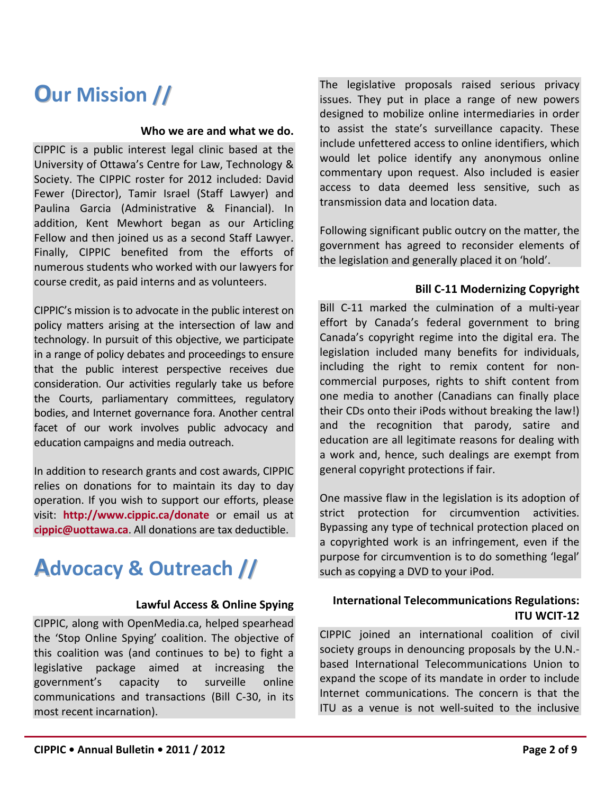## **Our Mission //**

#### **Who we are and what we do.**

CIPPIC is a public interest legal clinic based at the University of Ottawa's Centre for Law, Technology & Society. The CIPPIC roster for 2012 included: David Fewer (Director), Tamir Israel (Staff Lawyer) and Paulina Garcia (Administrative & Financial). In addition, Kent Mewhort began as our Articling Fellow and then joined us as a second Staff Lawyer. Finally, CIPPIC benefited from the efforts of numerous students who worked with our lawyers for course credit, as paid interns and as volunteers.

CIPPIC's mission is to advocate in the public interest on policy matters arising at the intersection of law and technology. In pursuit of this objective, we participate in a range of policy debates and proceedings to ensure that the public interest perspective receives due consideration. Our activities regularly take us before the Courts, parliamentary committees, regulatory bodies, and Internet governance fora. Another central facet of our work involves public advocacy and education campaigns and media outreach.

In addition to research grants and cost awards, CIPPIC relies on donations for to maintain its day to day operation. If you wish to support our efforts, please visit: **http://www.cippic.ca/donate** or email us at **cippic@uottawa.ca**. All donations are tax deductible.

## **Advocacy & Outreach //**

#### **Lawful Access & Online Spying**

CIPPIC, along with OpenMedia.ca, helped spearhead the 'Stop Online Spying' coalition. The objective of this coalition was (and continues to be) to fight a legislative package aimed at increasing the government's capacity to surveille online communications and transactions (Bill C-30, in its most recent incarnation).

The legislative proposals raised serious privacy issues. They put in place a range of new powers designed to mobilize online intermediaries in order to assist the state's surveillance capacity. These include unfettered access to online identifiers, which would let police identify any anonymous online commentary upon request. Also included is easier access to data deemed less sensitive, such as transmission data and location data.

Following significant public outcry on the matter, the government has agreed to reconsider elements of the legislation and generally placed it on 'hold'.

#### **Bill C-11 Modernizing Copyright**

Bill C-11 marked the culmination of a multi-year effort by Canada's federal government to bring Canada's copyright regime into the digital era. The legislation included many benefits for individuals, including the right to remix content for noncommercial purposes, rights to shift content from one media to another (Canadians can finally place their CDs onto their iPods without breaking the law!) and the recognition that parody, satire and education are all legitimate reasons for dealing with a work and, hence, such dealings are exempt from general copyright protections if fair.

One massive flaw in the legislation is its adoption of strict protection for circumvention activities. Bypassing any type of technical protection placed on a copyrighted work is an infringement, even if the purpose for circumvention is to do something 'legal' such as copying a DVD to your iPod.

#### **International Telecommunications Regulations: ITU WCIT-12**

CIPPIC joined an international coalition of civil society groups in denouncing proposals by the U.N. based International Telecommunications Union to expand the scope of its mandate in order to include Internet communications. The concern is that the ITU as a venue is not well-suited to the inclusive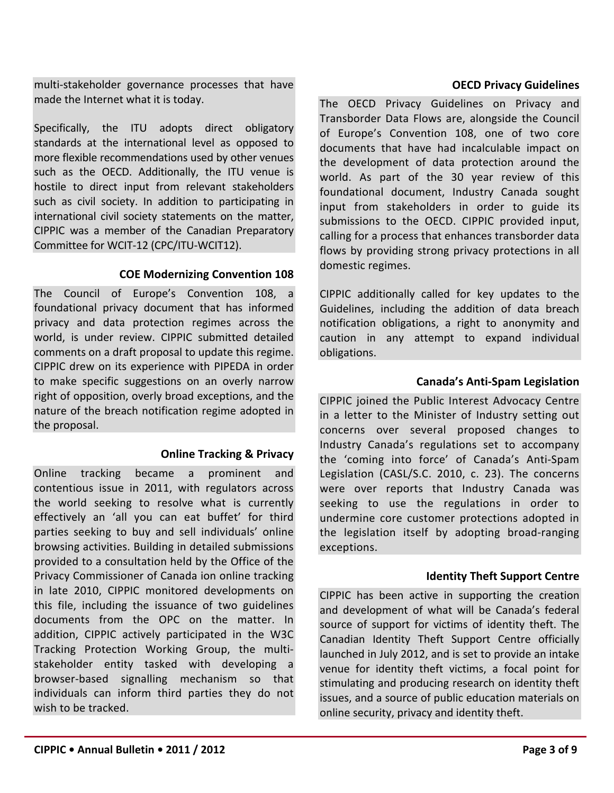multi-stakeholder governance processes that have made the Internet what it is today.

Specifically, the ITU adopts direct obligatory standards at the international level as opposed to more flexible recommendations used by other venues such as the OECD. Additionally, the ITU venue is hostile to direct input from relevant stakeholders such as civil society. In addition to participating in international civil society statements on the matter, CIPPIC was a member of the Canadian Preparatory Committee for WCIT-12 (CPC/ITU-WCIT12).

#### **COE Modernizing Convention 108**

The Council of Europe's Convention 108, a foundational privacy document that has informed privacy and data protection regimes across the world, is under review. CIPPIC submitted detailed comments on a draft proposal to update this regime. CIPPIC drew on its experience with PIPEDA in order to make specific suggestions on an overly narrow right of opposition, overly broad exceptions, and the nature of the breach notification regime adopted in the proposal.

#### **Online Tracking & Privacy**

Online tracking became a prominent and contentious issue in 2011, with regulators across the world seeking to resolve what is currently effectively an 'all you can eat buffet' for third parties seeking to buy and sell individuals' online browsing activities. Building in detailed submissions provided to a consultation held by the Office of the Privacy Commissioner of Canada ion online tracking in late 2010, CIPPIC monitored developments on this file, including the issuance of two guidelines documents from the OPC on the matter. In addition, CIPPIC actively participated in the W3C Tracking Protection Working Group, the multistakeholder entity tasked with developing a browser-based signalling mechanism so that individuals can inform third parties they do not wish to be tracked.

#### **OECD Privacy Guidelines**

The OECD Privacy Guidelines on Privacy and Transborder Data Flows are, alongside the Council of Europe's Convention 108, one of two core documents that have had incalculable impact on the development of data protection around the world. As part of the 30 year review of this foundational document, Industry Canada sought input from stakeholders in order to guide its submissions to the OECD. CIPPIC provided input, calling for a process that enhances transborder data flows by providing strong privacy protections in all domestic regimes.

CIPPIC additionally called for key updates to the Guidelines, including the addition of data breach notification obligations, a right to anonymity and caution in any attempt to expand individual obligations.

#### **Canada's Anti-Spam Legislation**

CIPPIC joined the Public Interest Advocacy Centre in a letter to the Minister of Industry setting out concerns over several proposed changes to Industry Canada's regulations set to accompany the 'coming into force' of Canada's Anti-Spam Legislation (CASL/S.C. 2010, c. 23). The concerns were over reports that Industry Canada was seeking to use the regulations in order to undermine core customer protections adopted in the legislation itself by adopting broad-ranging exceptions.

#### **Identity Theft Support Centre**

CIPPIC has been active in supporting the creation and development of what will be Canada's federal source of support for victims of identity theft. The Canadian Identity Theft Support Centre officially launched in July 2012, and is set to provide an intake venue for identity theft victims, a focal point for stimulating and producing research on identity theft issues, and a source of public education materials on online security, privacy and identity theft.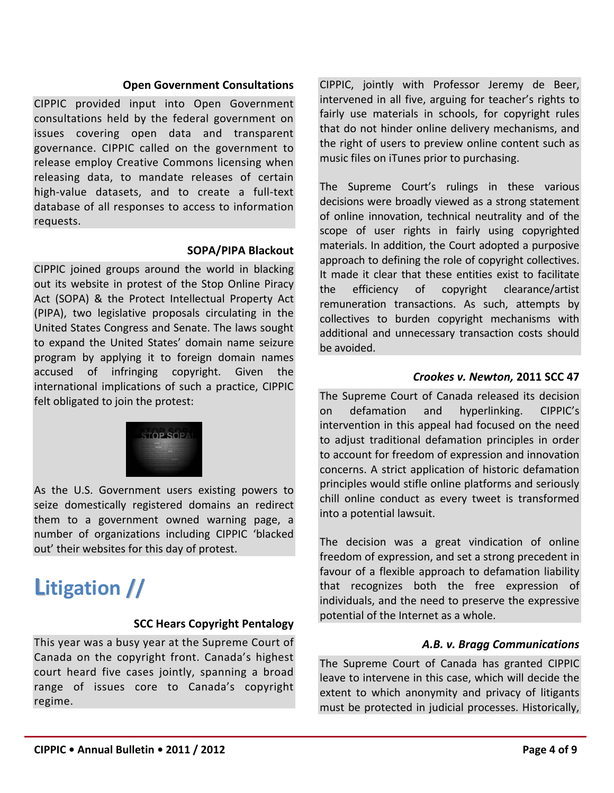#### **Open Government Consultations**

CIPPIC provided input into Open Government consultations held by the federal government on issues covering open data and transparent governance. CIPPIC called on the government to release employ Creative Commons licensing when releasing data, to mandate releases of certain high-value datasets, and to create a full-text database of all responses to access to information requests.

#### **SOPA/PIPA Blackout**

CIPPIC joined groups around the world in blacking out its website in protest of the Stop Online Piracy Act (SOPA) & the Protect Intellectual Property Act (PIPA), two legislative proposals circulating in the United States Congress and Senate. The laws sought to expand the United States' domain name seizure program by applying it to foreign domain names accused of infringing copyright. Given the international implications of such a practice, CIPPIC felt obligated to join the protest:



As the U.S. Government users existing powers to seize domestically registered domains an redirect them to a government owned warning page, a number of organizations including CIPPIC 'blacked out' their websites for this day of protest.

## **Litigation //**

#### **SCC Hears Copyright Pentalogy**

This year was a busy year at the Supreme Court of Canada on the copyright front. Canada's highest court heard five cases jointly, spanning a broad range of issues core to Canada's copyright regime.

CIPPIC, jointly with Professor Jeremy de Beer, intervened in all five, arguing for teacher's rights to fairly use materials in schools, for copyright rules that do not hinder online delivery mechanisms, and the right of users to preview online content such as music files on iTunes prior to purchasing.

The Supreme Court's rulings in these various decisions were broadly viewed as a strong statement of online innovation, technical neutrality and of the scope of user rights in fairly using copyrighted materials. In addition, the Court adopted a purposive approach to defining the role of copyright collectives. It made it clear that these entities exist to facilitate the efficiency of copyright clearance/artist remuneration transactions. As such, attempts by collectives to burden copyright mechanisms with additional and unnecessary transaction costs should be avoided.

#### *Crookes v. Newton,* **2011 SCC 47**

The Supreme Court of Canada released its decision on defamation and hyperlinking. CIPPIC's intervention in this appeal had focused on the need to adjust traditional defamation principles in order to account for freedom of expression and innovation concerns. A strict application of historic defamation principles would stifle online platforms and seriously chill online conduct as every tweet is transformed into a potential lawsuit.

The decision was a great vindication of online freedom of expression, and set a strong precedent in favour of a flexible approach to defamation liability that recognizes both the free expression of individuals, and the need to preserve the expressive potential of the Internet as a whole.

#### *A.B. v. Bragg Communications*

The Supreme Court of Canada has granted CIPPIC leave to intervene in this case, which will decide the extent to which anonymity and privacy of litigants must be protected in judicial processes. Historically,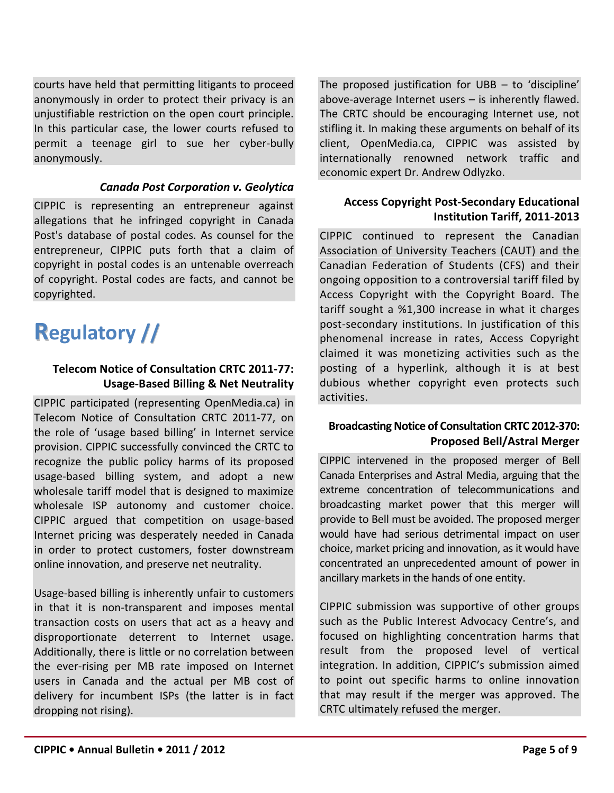courts have held that permitting litigants to proceed anonymously in order to protect their privacy is an unjustifiable restriction on the open court principle. In this particular case, the lower courts refused to permit a teenage girl to sue her cyber-bully anonymously.

#### *Canada Post Corporation v. Geolytica*

CIPPIC is representing an entrepreneur against allegations that he infringed copyright in Canada Post's database of postal codes. As counsel for the entrepreneur, CIPPIC puts forth that a claim of copyright in postal codes is an untenable overreach of copyright. Postal codes are facts, and cannot be copyrighted.

## **Regulatory //**

#### **Telecom Notice of Consultation CRTC 2011-77: Usage-Based Billing & Net Neutrality**

CIPPIC participated (representing OpenMedia.ca) in Telecom Notice of Consultation CRTC 2011-77, on the role of 'usage based billing' in Internet service provision. CIPPIC successfully convinced the CRTC to recognize the public policy harms of its proposed usage-based billing system, and adopt a new wholesale tariff model that is designed to maximize wholesale ISP autonomy and customer choice. CIPPIC argued that competition on usage-based Internet pricing was desperately needed in Canada in order to protect customers, foster downstream online innovation, and preserve net neutrality.

Usage-based billing is inherently unfair to customers in that it is non-transparent and imposes mental transaction costs on users that act as a heavy and disproportionate deterrent to Internet usage. Additionally, there is little or no correlation between the ever-rising per MB rate imposed on Internet users in Canada and the actual per MB cost of delivery for incumbent ISPs (the latter is in fact dropping not rising).

The proposed justification for UBB – to 'discipline' above-average Internet users – is inherently flawed. The CRTC should be encouraging Internet use, not stifling it. In making these arguments on behalf of its client, OpenMedia.ca, CIPPIC was assisted by internationally renowned network traffic and economic expert Dr. Andrew Odlyzko.

#### **Access Copyright Post-Secondary Educational Institution Tariff, 2011-2013**

CIPPIC continued to represent the Canadian Association of University Teachers (CAUT) and the Canadian Federation of Students (CFS) and their ongoing opposition to a controversial tariff filed by Access Copyright with the Copyright Board. The tariff sought a %1,300 increase in what it charges post-secondary institutions. In justification of this phenomenal increase in rates, Access Copyright claimed it was monetizing activities such as the posting of a hyperlink, although it is at best dubious whether copyright even protects such activities.

#### **Broadcasting Notice of Consultation CRTC 2012-370: Proposed Bell/Astral Merger**

CIPPIC intervened in the proposed merger of Bell Canada Enterprises and Astral Media, arguing that the extreme concentration of telecommunications and broadcasting market power that this merger will provide to Bell must be avoided. The proposed merger would have had serious detrimental impact on user choice, market pricing and innovation, as it would have concentrated an unprecedented amount of power in ancillary markets in the hands of one entity.

CIPPIC submission was supportive of other groups such as the Public Interest Advocacy Centre's, and focused on highlighting concentration harms that result from the proposed level of vertical integration. In addition, CIPPIC's submission aimed to point out specific harms to online innovation that may result if the merger was approved. The CRTC ultimately refused the merger.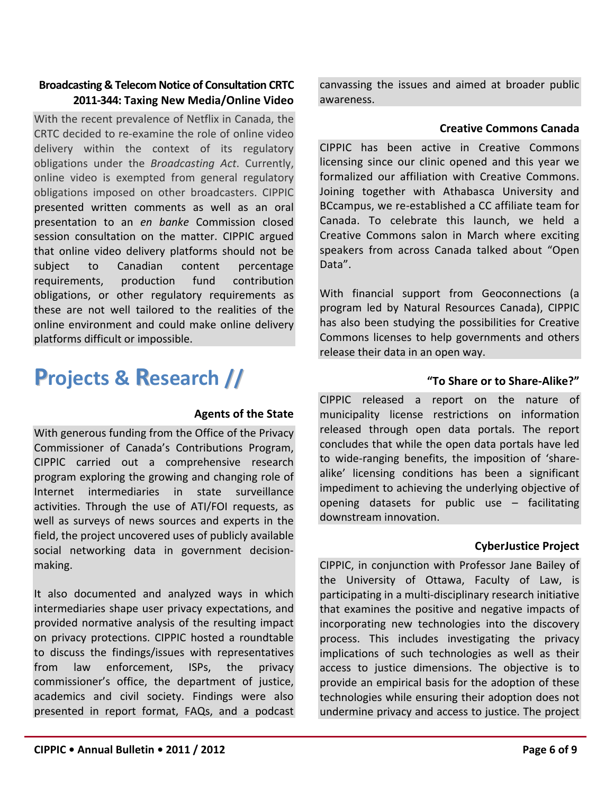#### **Broadcasting & Telecom Notice of Consultation CRTC 2011-344: Taxing New Media/Online Video**

With the recent prevalence of Netflix in Canada, the CRTC decided to re-examine the role of online video delivery within the context of its regulatory obligations under the *Broadcasting Act*. Currently, online video is exempted from general regulatory obligations imposed on other broadcasters. CIPPIC presented written comments as well as an oral presentation to an *en banke* Commission closed session consultation on the matter. CIPPIC argued that online video delivery platforms should not be subject to Canadian content percentage requirements, production fund contribution obligations, or other regulatory requirements as these are not well tailored to the realities of the online environment and could make online delivery platforms difficult or impossible.

## **Projects & Research //**

#### **Agents of the State**

With generous funding from the Office of the Privacy Commissioner of Canada's Contributions Program, CIPPIC carried out a comprehensive research program exploring the growing and changing role of Internet intermediaries in state surveillance activities. Through the use of ATI/FOI requests, as well as surveys of news sources and experts in the field, the project uncovered uses of publicly available social networking data in government decisionmaking.

It also documented and analyzed ways in which intermediaries shape user privacy expectations, and provided normative analysis of the resulting impact on privacy protections. CIPPIC hosted a roundtable to discuss the findings/issues with representatives from law enforcement, ISPs, the privacy commissioner's office, the department of justice, academics and civil society. Findings were also presented in report format, FAQs, and a podcast canvassing the issues and aimed at broader public awareness.

#### **Creative Commons Canada**

CIPPIC has been active in Creative Commons licensing since our clinic opened and this year we formalized our affiliation with Creative Commons. Joining together with Athabasca University and BCcampus, we re-established a CC affiliate team for Canada. To celebrate this launch, we held a Creative Commons salon in March where exciting speakers from across Canada talked about "Open Data".

With financial support from Geoconnections (a program led by Natural Resources Canada), CIPPIC has also been studying the possibilities for Creative Commons licenses to help governments and others release their data in an open way.

#### **"To Share or to Share-Alike?"**

CIPPIC released a report on the nature of municipality license restrictions on information released through open data portals. The report concludes that while the open data portals have led to wide-ranging benefits, the imposition of 'sharealike' licensing conditions has been a significant impediment to achieving the underlying objective of opening datasets for public use – facilitating downstream innovation.

#### **CyberJustice Project**

CIPPIC, in conjunction with Professor Jane Bailey of the University of Ottawa, Faculty of Law, is participating in a multi-disciplinary research initiative that examines the positive and negative impacts of incorporating new technologies into the discovery process. This includes investigating the privacy implications of such technologies as well as their access to justice dimensions. The objective is to provide an empirical basis for the adoption of these technologies while ensuring their adoption does not undermine privacy and access to justice. The project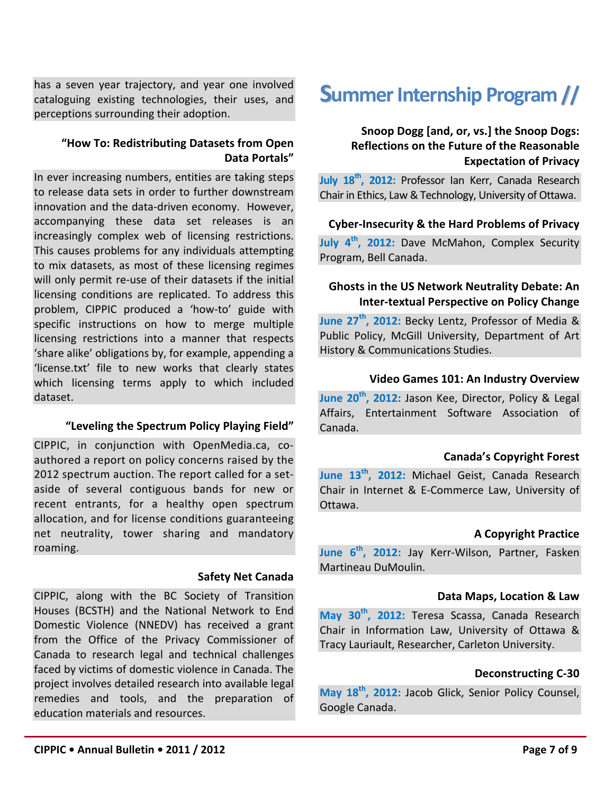has a seven year trajectory, and year one involved cataloguing existing technologies, their uses, and perceptions surrounding their adoption.

#### **"How To: Redistributing Datasets from Open Data Portals"**

In ever increasing numbers, entities are taking steps to release data sets in order to further downstream innovation and the data-driven economy. However, accompanying these data set releases is an increasingly complex web of licensing restrictions. This causes problems for any individuals attempting to mix datasets, as most of these licensing regimes will only permit re-use of their datasets if the initial licensing conditions are replicated. To address this problem, CIPPIC produced a 'how-to' guide with specific instructions on how to merge multiple licensing restrictions into a manner that respects 'share alike' obligations by, for example, appending a 'license.txt' file to new works that clearly states which licensing terms apply to which included dataset.

#### **"Leveling the Spectrum Policy Playing Field"**

CIPPIC, in conjunction with OpenMedia.ca, coauthored a report on policy concerns raised by the 2012 spectrum auction. The report called for a setaside of several contiguous bands for new or recent entrants, for a healthy open spectrum allocation, and for license conditions guaranteeing net neutrality, tower sharing and mandatory roaming.

#### **Safety Net Canada**

CIPPIC, along with the BC Society of Transition Houses (BCSTH) and the National Network to End Domestic Violence (NNEDV) has received a grant from the Office of the Privacy Commissioner of Canada to research legal and technical challenges faced by victims of domestic violence in Canada. The project involves detailed research into available legal remedies and tools, and the preparation of education materials and resources.

## **Summer Internship Program //**

#### **Snoop Dogg [and, or, vs.] the Snoop Dogs: Reflections on the Future of the Reasonable Expectation of Privacy**

**July 18th, 2012:** Professor Ian Kerr, Canada Research Chair in Ethics, Law & Technology, University of Ottawa.

#### **Cyber-Insecurity & the Hard Problems of Privacy**

**July 4th, 2012:** Dave McMahon, Complex Security Program, Bell Canada.

#### **Ghosts in the US Network Neutrality Debate: An Inter-textual Perspective on Policy Change**

**June 27th, 2012:** Becky Lentz, Professor of Media & Public Policy, McGill University, Department of Art History & Communications Studies.

#### **Video Games 101: An Industry Overview**

**June 20th, 2012:** Jason Kee, Director, Policy & Legal Affairs, Entertainment Software Association of Canada.

#### **Canada's Copyright Forest**

June 13<sup>th</sup>, 2012: Michael Geist, Canada Research Chair in Internet & E-Commerce Law, University of Ottawa.

#### **A Copyright Practice**

**June 6th, 2012:** Jay Kerr-Wilson, Partner, Fasken Martineau DuMoulin.

#### **Data Maps, Location & Law**

**May 30th, 2012:** Teresa Scassa, Canada Research Chair in Information Law, University of Ottawa & Tracy Lauriault, Researcher, Carleton University.

#### **Deconstructing C-30**

**May 18th, 2012:** Jacob Glick, Senior Policy Counsel, Google Canada.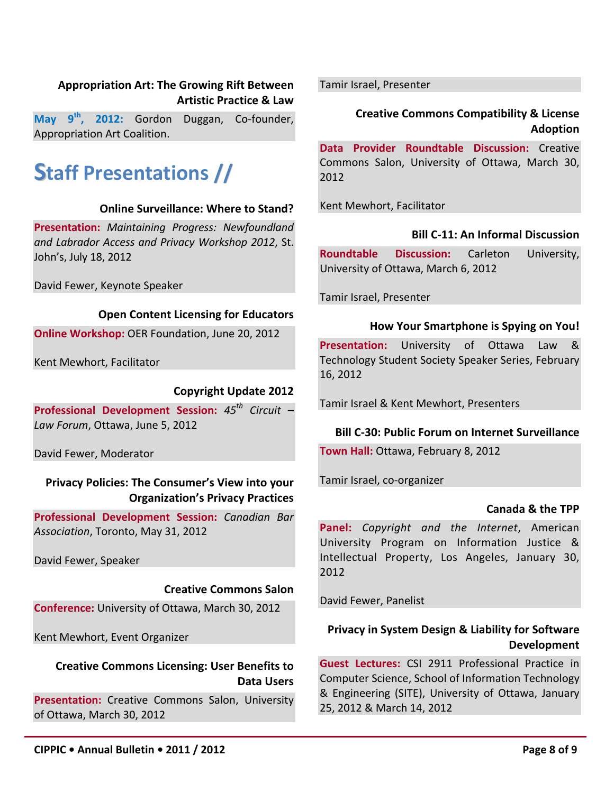#### **Appropriation Art: The Growing Rift Between Artistic Practice & Law**

**May 9th, 2012:** Gordon Duggan, Co-founder, Appropriation Art Coalition.

## **Staff Presentations //**

#### **Online Surveillance: Where to Stand?**

**Presentation:** *Maintaining Progress: Newfoundland and Labrador Access and Privacy Workshop 2012*, St. John's, July 18, 2012

David Fewer, Keynote Speaker

#### **Open Content Licensing for Educators**

**Online Workshop:** OER Foundation, June 20, 2012

Kent Mewhort, Facilitator

#### **Copyright Update 2012**

**Professional Development Session:** *45th Circuit – Law Forum*, Ottawa, June 5, 2012

David Fewer, Moderator

#### **Privacy Policies: The Consumer's View into your Organization's Privacy Practices**

**Professional Development Session:** *Canadian Bar Association*, Toronto, May 31, 2012

David Fewer, Speaker

#### **Creative Commons Salon**

**Conference:** University of Ottawa, March 30, 2012

Kent Mewhort, Event Organizer

#### **Creative Commons Licensing: User Benefits to Data Users**

**Presentation:** Creative Commons Salon, University of Ottawa, March 30, 2012

Tamir Israel, Presenter

#### **Creative Commons Compatibility & License Adoption**

**Data Provider Roundtable Discussion:** Creative Commons Salon, University of Ottawa, March 30, 2012

Kent Mewhort, Facilitator

#### **Bill C-11: An Informal Discussion**

**Roundtable Discussion:** Carleton University, University of Ottawa, March 6, 2012

Tamir Israel, Presenter

#### **How Your Smartphone is Spying on You!**

**Presentation:** University of Ottawa Law & Technology Student Society Speaker Series, February 16, 2012

Tamir Israel & Kent Mewhort, Presenters

#### **Bill C-30: Public Forum on Internet Surveillance**

**Town Hall:** Ottawa, February 8, 2012

Tamir Israel, co-organizer

#### **Canada & the TPP**

**Panel:** *Copyright and the Internet*, American University Program on Information Justice & Intellectual Property, Los Angeles, January 30, 2012

David Fewer, Panelist

#### **Privacy in System Design & Liability for Software Development**

**Guest Lectures:** CSI 2911 Professional Practice in Computer Science, School of Information Technology & Engineering (SITE), University of Ottawa, January 25, 2012 & March 14, 2012